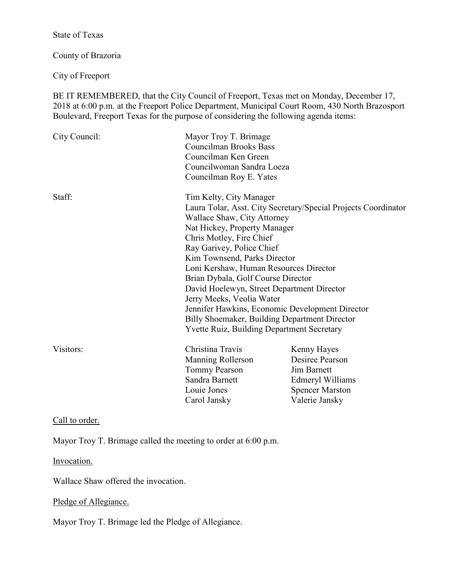State of Texas

County of Brazoria

City of Freeport

BE IT REMEMBERED, that the City Council of Freeport, Texas met on Monday, December 17, 2018 at 6:00 p.m. at the Freeport Police Department, Municipal Court Room, 430 North Brazosport Boulevard, Freeport Texas for the purpose of considering the following agenda items:

| City Council: | Mayor Troy T. Brimage<br><b>Councilman Brooks Bass</b><br>Councilman Ken Green<br>Councilwoman Sandra Loeza<br>Councilman Roy E. Yates                                                                                                                                                                                                                                                                                                           |                                                                                                                      |
|---------------|--------------------------------------------------------------------------------------------------------------------------------------------------------------------------------------------------------------------------------------------------------------------------------------------------------------------------------------------------------------------------------------------------------------------------------------------------|----------------------------------------------------------------------------------------------------------------------|
| Staff:        | Tim Kelty, City Manager<br>Wallace Shaw, City Attorney<br>Nat Hickey, Property Manager<br>Chris Motley, Fire Chief<br>Ray Garivey, Police Chief<br>Kim Townsend, Parks Director<br>Loni Kershaw, Human Resources Director<br>Brian Dybala, Golf Course Director<br>David Hoelewyn, Street Department Director<br>Jerry Meeks, Veolia Water<br>Billy Shoemaker, Building Department Director<br><b>Yvette Ruiz, Building Department Secretary</b> | Laura Tolar, Asst. City Secretary/Special Projects Coordinator<br>Jennifer Hawkins, Economic Development Director    |
| Visitors:     | Christina Travis<br>Manning Rollerson<br><b>Tommy Pearson</b><br>Sandra Barnett<br>Louie Jones<br>Carol Jansky                                                                                                                                                                                                                                                                                                                                   | Kenny Hayes<br>Desiree Pearson<br><b>Jim Barnett</b><br>Edmeryl Williams<br><b>Spencer Marston</b><br>Valerie Jansky |

Call to order.

Mayor Troy T. Brimage called the meeting to order at 6:00 p.m.

Invocation.

Wallace Shaw offered the invocation.

# Pledge of Allegiance.

Mayor Troy T. Brimage led the Pledge of Allegiance.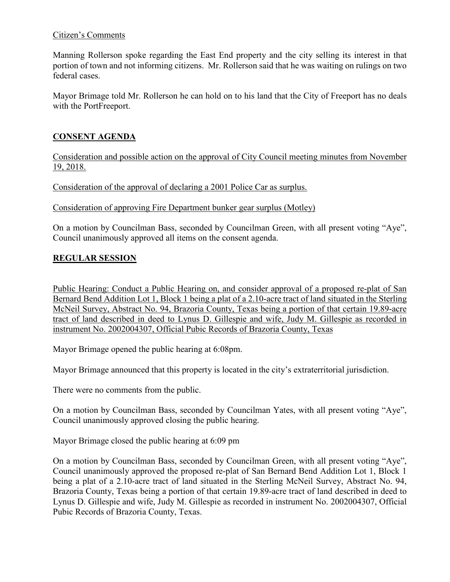## Citizen's Comments

Manning Rollerson spoke regarding the East End property and the city selling its interest in that portion of town and not informing citizens. Mr. Rollerson said that he was waiting on rulings on two federal cases.

Mayor Brimage told Mr. Rollerson he can hold on to his land that the City of Freeport has no deals with the PortFreeport.

# **CONSENT AGENDA**

Consideration and possible action on the approval of City Council meeting minutes from November 19, 2018.

Consideration of the approval of declaring a 2001 Police Car as surplus.

Consideration of approving Fire Department bunker gear surplus (Motley)

On a motion by Councilman Bass, seconded by Councilman Green, with all present voting "Aye", Council unanimously approved all items on the consent agenda.

# **REGULAR SESSION**

Public Hearing: Conduct a Public Hearing on, and consider approval of a proposed re-plat of San Bernard Bend Addition Lot 1, Block 1 being a plat of a 2.10-acre tract of land situated in the Sterling McNeil Survey, Abstract No. 94, Brazoria County, Texas being a portion of that certain 19.89-acre tract of land described in deed to Lynus D. Gillespie and wife, Judy M. Gillespie as recorded in instrument No. 2002004307, Official Pubic Records of Brazoria County, Texas

Mayor Brimage opened the public hearing at 6:08pm.

Mayor Brimage announced that this property is located in the city's extraterritorial jurisdiction.

There were no comments from the public.

On a motion by Councilman Bass, seconded by Councilman Yates, with all present voting "Aye", Council unanimously approved closing the public hearing.

Mayor Brimage closed the public hearing at 6:09 pm

On a motion by Councilman Bass, seconded by Councilman Green, with all present voting "Aye", Council unanimously approved the proposed re-plat of San Bernard Bend Addition Lot 1, Block 1 being a plat of a 2.10-acre tract of land situated in the Sterling McNeil Survey, Abstract No. 94, Brazoria County, Texas being a portion of that certain 19.89-acre tract of land described in deed to Lynus D. Gillespie and wife, Judy M. Gillespie as recorded in instrument No. 2002004307, Official Pubic Records of Brazoria County, Texas.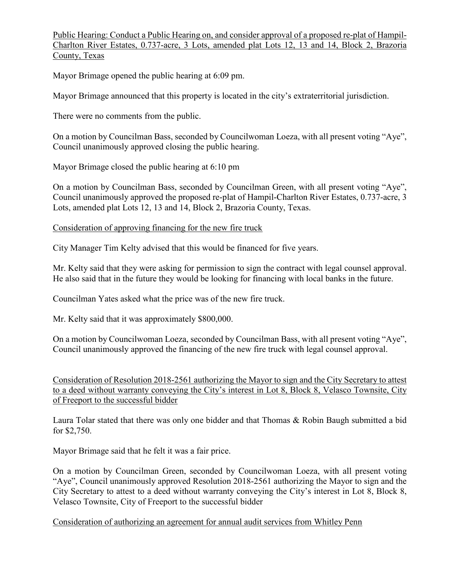Public Hearing: Conduct a Public Hearing on, and consider approval of a proposed re-plat of Hampil-Charlton River Estates, 0.737-acre, 3 Lots, amended plat Lots 12, 13 and 14, Block 2, Brazoria County, Texas

Mayor Brimage opened the public hearing at 6:09 pm.

Mayor Brimage announced that this property is located in the city's extraterritorial jurisdiction.

There were no comments from the public.

On a motion by Councilman Bass, seconded by Councilwoman Loeza, with all present voting "Aye", Council unanimously approved closing the public hearing.

Mayor Brimage closed the public hearing at 6:10 pm

On a motion by Councilman Bass, seconded by Councilman Green, with all present voting "Aye", Council unanimously approved the proposed re-plat of Hampil-Charlton River Estates, 0.737-acre, 3 Lots, amended plat Lots 12, 13 and 14, Block 2, Brazoria County, Texas.

Consideration of approving financing for the new fire truck

City Manager Tim Kelty advised that this would be financed for five years.

Mr. Kelty said that they were asking for permission to sign the contract with legal counsel approval. He also said that in the future they would be looking for financing with local banks in the future.

Councilman Yates asked what the price was of the new fire truck.

Mr. Kelty said that it was approximately \$800,000.

On a motion by Councilwoman Loeza, seconded by Councilman Bass, with all present voting "Aye", Council unanimously approved the financing of the new fire truck with legal counsel approval.

Consideration of Resolution 2018-2561 authorizing the Mayor to sign and the City Secretary to attest to a deed without warranty conveying the City's interest in Lot 8, Block 8, Velasco Townsite, City of Freeport to the successful bidder

Laura Tolar stated that there was only one bidder and that Thomas & Robin Baugh submitted a bid for \$2,750.

Mayor Brimage said that he felt it was a fair price.

On a motion by Councilman Green, seconded by Councilwoman Loeza, with all present voting "Aye", Council unanimously approved Resolution 2018-2561 authorizing the Mayor to sign and the City Secretary to attest to a deed without warranty conveying the City's interest in Lot 8, Block 8, Velasco Townsite, City of Freeport to the successful bidder

Consideration of authorizing an agreement for annual audit services from Whitley Penn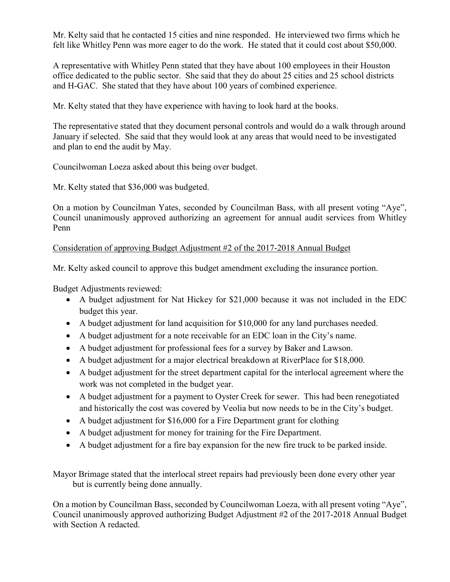Mr. Kelty said that he contacted 15 cities and nine responded. He interviewed two firms which he felt like Whitley Penn was more eager to do the work. He stated that it could cost about \$50,000.

A representative with Whitley Penn stated that they have about 100 employees in their Houston office dedicated to the public sector. She said that they do about 25 cities and 25 school districts and H-GAC. She stated that they have about 100 years of combined experience.

Mr. Kelty stated that they have experience with having to look hard at the books.

The representative stated that they document personal controls and would do a walk through around January if selected. She said that they would look at any areas that would need to be investigated and plan to end the audit by May.

Councilwoman Loeza asked about this being over budget.

Mr. Kelty stated that \$36,000 was budgeted.

On a motion by Councilman Yates, seconded by Councilman Bass, with all present voting "Aye", Council unanimously approved authorizing an agreement for annual audit services from Whitley Penn

## Consideration of approving Budget Adjustment #2 of the 2017-2018 Annual Budget

Mr. Kelty asked council to approve this budget amendment excluding the insurance portion.

Budget Adjustments reviewed:

- A budget adjustment for Nat Hickey for \$21,000 because it was not included in the EDC budget this year.
- A budget adjustment for land acquisition for \$10,000 for any land purchases needed.
- A budget adjustment for a note receivable for an EDC loan in the City's name.
- A budget adjustment for professional fees for a survey by Baker and Lawson.
- A budget adjustment for a major electrical breakdown at RiverPlace for \$18,000.
- A budget adjustment for the street department capital for the interlocal agreement where the work was not completed in the budget year.
- A budget adjustment for a payment to Oyster Creek for sewer. This had been renegotiated and historically the cost was covered by Veolia but now needs to be in the City's budget.
- A budget adjustment for \$16,000 for a Fire Department grant for clothing
- A budget adjustment for money for training for the Fire Department.
- A budget adjustment for a fire bay expansion for the new fire truck to be parked inside.

Mayor Brimage stated that the interlocal street repairs had previously been done every other year but is currently being done annually.

On a motion by Councilman Bass, seconded by Councilwoman Loeza, with all present voting "Aye", Council unanimously approved authorizing Budget Adjustment #2 of the 2017-2018 Annual Budget with Section A redacted.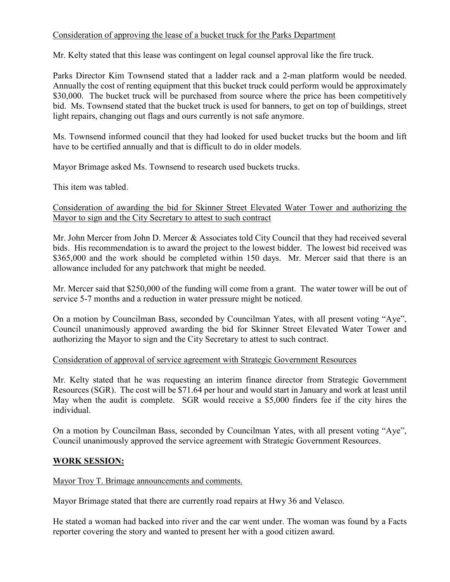# Consideration of approving the lease of a bucket truck for the Parks Department

Mr. Kelty stated that this lease was contingent on legal counsel approval like the fire truck.

Parks Director Kim Townsend stated that a ladder rack and a 2-man platform would be needed. Annually the cost of renting equipment that this bucket truck could perform would be approximately \$30,000. The bucket truck will be purchased from source where the price has been competitively bid. Ms. Townsend stated that the bucket truck is used for banners, to get on top of buildings, street light repairs, changing out flags and ours currently is not safe anymore.

Ms. Townsend informed council that they had looked for used bucket trucks but the boom and lift have to be certified annually and that is difficult to do in older models.

Mayor Brimage asked Ms. Townsend to research used buckets trucks.

This item was tabled.

## Consideration of awarding the bid for Skinner Street Elevated Water Tower and authorizing the Mayor to sign and the City Secretary to attest to such contract

Mr. John Mercer from John D. Mercer & Associates told City Council that they had received several bids. His recommendation is to award the project to the lowest bidder. The lowest bid received was \$365,000 and the work should be completed within 150 days. Mr. Mercer said that there is an allowance included for any patchwork that might be needed.

Mr. Mercer said that \$250,000 of the funding will come from a grant. The water tower will be out of service 5-7 months and a reduction in water pressure might be noticed.

On a motion by Councilman Bass, seconded by Councilman Yates, with all present voting "Aye", Council unanimously approved awarding the bid for Skinner Street Elevated Water Tower and authorizing the Mayor to sign and the City Secretary to attest to such contract.

# Consideration of approval of service agreement with Strategic Government Resources

Mr. Kelty stated that he was requesting an interim finance director from Strategic Government Resources (SGR). The cost will be \$71.64 per hour and would start in January and work at least until May when the audit is complete. SGR would receive a \$5,000 finders fee if the city hires the individual.

On a motion by Councilman Bass, seconded by Councilman Yates, with all present voting "Aye", Council unanimously approved the service agreement with Strategic Government Resources.

# **WORK SESSION:**

Mayor Troy T. Brimage announcements and comments.

Mayor Brimage stated that there are currently road repairs at Hwy 36 and Velasco.

He stated a woman had backed into river and the car went under. The woman was found by a Facts reporter covering the story and wanted to present her with a good citizen award.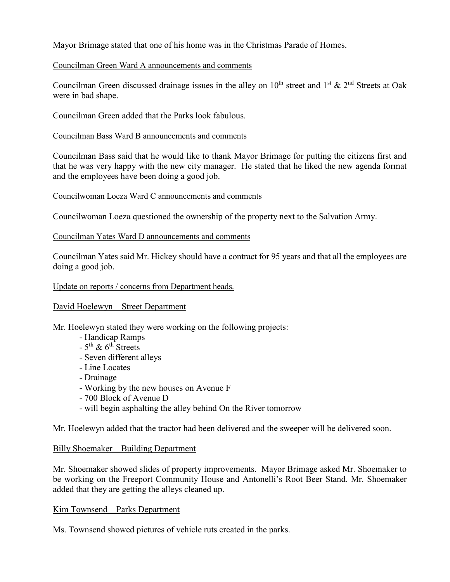Mayor Brimage stated that one of his home was in the Christmas Parade of Homes.

# Councilman Green Ward A announcements and comments

Councilman Green discussed drainage issues in the alley on  $10^{th}$  street and  $1^{st}$  &  $2^{nd}$  Streets at Oak were in bad shape.

Councilman Green added that the Parks look fabulous.

#### Councilman Bass Ward B announcements and comments

Councilman Bass said that he would like to thank Mayor Brimage for putting the citizens first and that he was very happy with the new city manager. He stated that he liked the new agenda format and the employees have been doing a good job.

## Councilwoman Loeza Ward C announcements and comments

Councilwoman Loeza questioned the ownership of the property next to the Salvation Army.

## Councilman Yates Ward D announcements and comments

Councilman Yates said Mr. Hickey should have a contract for 95 years and that all the employees are doing a good job.

## Update on reports / concerns from Department heads.

# David Hoelewyn – Street Department

Mr. Hoelewyn stated they were working on the following projects:

- Handicap Ramps
- $-5$ <sup>th</sup> & 6<sup>th</sup> Streets
- Seven different alleys
- Line Locates
- Drainage
- Working by the new houses on Avenue F
- 700 Block of Avenue D
- will begin asphalting the alley behind On the River tomorrow

Mr. Hoelewyn added that the tractor had been delivered and the sweeper will be delivered soon.

#### Billy Shoemaker – Building Department

Mr. Shoemaker showed slides of property improvements. Mayor Brimage asked Mr. Shoemaker to be working on the Freeport Community House and Antonelli's Root Beer Stand. Mr. Shoemaker added that they are getting the alleys cleaned up.

#### Kim Townsend – Parks Department

Ms. Townsend showed pictures of vehicle ruts created in the parks.